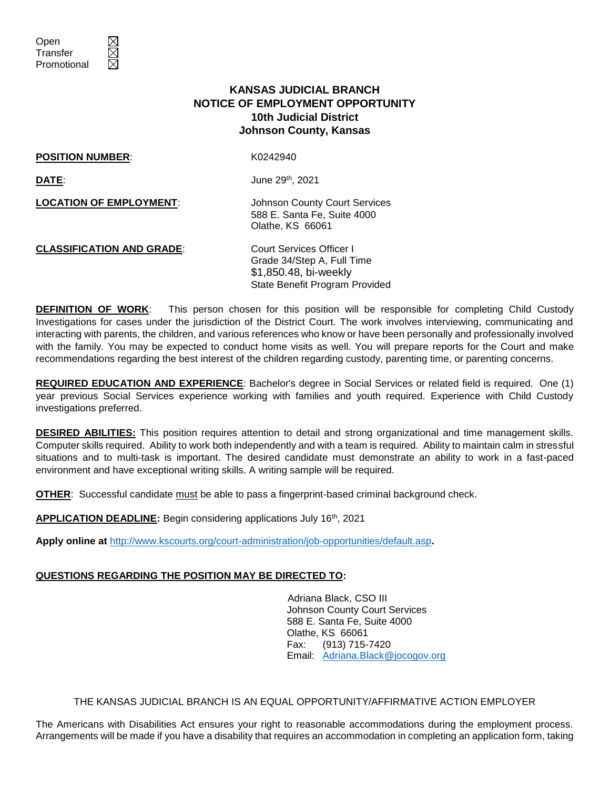## **KANSAS JUDICIAL BRANCH NOTICE OF EMPLOYMENT OPPORTUNITY 10th Judicial District Johnson County, Kansas**

## **POSITION NUMBER:** K0242940

**DATE:** June 29th, 2021

Open **Transfer** Promotional

**LOCATION OF EMPLOYMENT**: Johnson County Court Services

588 E. Santa Fe, Suite 4000 Olathe, KS 66061

**CLASSIFICATION AND GRADE**: Court Services Officer I

Grade 34/Step A, Full Time \$1,850.48, bi-weekly State Benefit Program Provided

**DEFINITION OF WORK:** This person chosen for this position will be responsible for completing Child Custody Investigations for cases under the jurisdiction of the District Court. The work involves interviewing, communicating and interacting with parents, the children, and various references who know or have been personally and professionally involved with the family. You may be expected to conduct home visits as well. You will prepare reports for the Court and make recommendations regarding the best interest of the children regarding custody, parenting time, or parenting concerns.

**REQUIRED EDUCATION AND EXPERIENCE**: Bachelor's degree in Social Services or related field is required. One (1) year previous Social Services experience working with families and youth required. Experience with Child Custody investigations preferred.

**DESIRED ABILITIES:** This position requires attention to detail and strong organizational and time management skills. Computer skills required. Ability to work both independently and with a team is required. Ability to maintain calm in stressful situations and to multi-task is important. The desired candidate must demonstrate an ability to work in a fast-paced environment and have exceptional writing skills. A writing sample will be required.

**OTHER**: Successful candidate must be able to pass a fingerprint-based criminal background check.

APPLICATION DEADLINE: Begin considering applications July 16<sup>th</sup>, 2021

**Apply online at** <http://www.kscourts.org/court-administration/job-opportunities/default.asp>**.**

## **QUESTIONS REGARDING THE POSITION MAY BE DIRECTED TO:**

Adriana Black, CSO III Johnson County Court Services 588 E. Santa Fe, Suite 4000 Olathe, KS 66061 Fax: (913) 715-7420 Email: [Adriana.Black@jocogov.org](mailto:Adriana.Black@jocogov.org)

## THE KANSAS JUDICIAL BRANCH IS AN EQUAL OPPORTUNITY/AFFIRMATIVE ACTION EMPLOYER

The Americans with Disabilities Act ensures your right to reasonable accommodations during the employment process. Arrangements will be made if you have a disability that requires an accommodation in completing an application form, taking